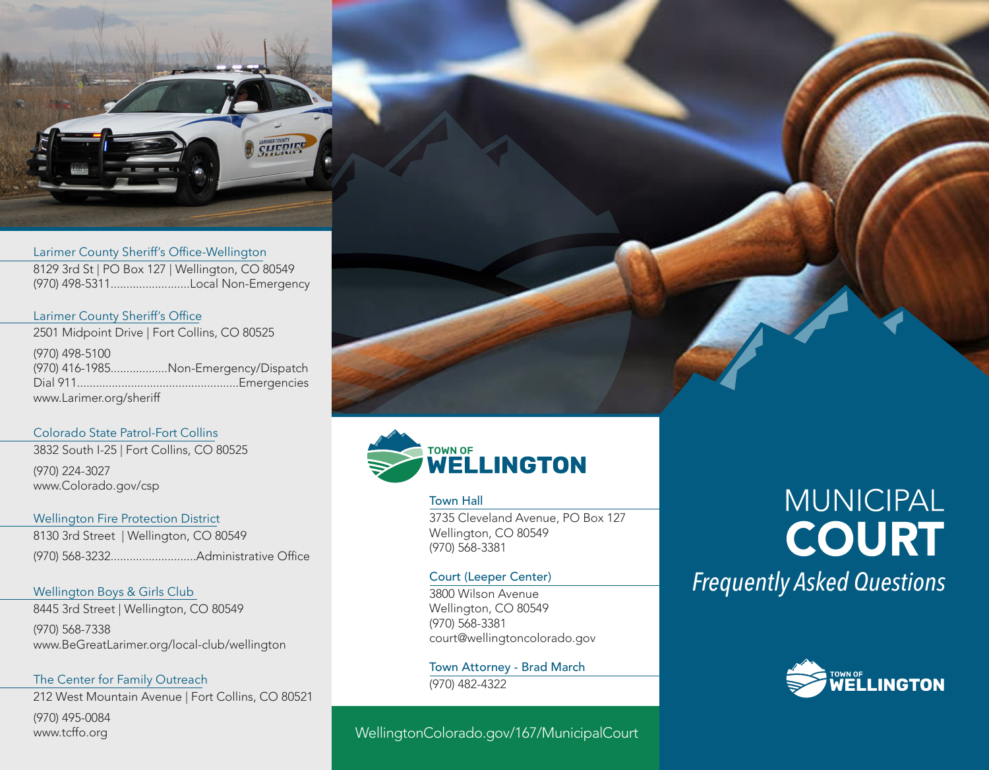

Larimer County Sheriff's Office-Wellington 8129 3rd St | PO Box 127 | Wellington, CO 80549 (970) 498-5311.........................Local Non-Emergency

Larimer County Sheriff's Office 2501 Midpoint Drive | Fort Collins, CO 80525 (970) 498-5100 (970) 416-1985..................Non-Emergency/Dispatch Dial 911...................................................Emergencies www.Larimer.org/sheriff

#### Colorado State Patrol-Fort Collins

3832 South I-25 | Fort Collins, CO 80525 (970) 224-3027 www.Colorado.gov/csp

Wellington Fire Protection District 8130 3rd Street | Wellington, CO 80549 (970) 568-3232...........................Administrative Office

Wellington Boys & Girls Club 8445 3rd Street | Wellington, CO 80549

(970) 568-7338 www.BeGreatLarimer.org/local-club/wellington

The Center for Family Outreach 212 West Mountain Avenue | Fort Collins, CO 80521

(970) 495-0084 www.tcffo.org



Town Hall 3735 Cleveland Avenue, PO Box 127 Wellington, CO 80549

Court (Leeper Center)

(970) 568-3381

3800 Wilson Avenue Wellington, CO 80549 (970) 568-3381 court@wellingtoncolorado.gov

Town Attorney - Brad March (970) 482-4322

# WellingtonColorado.gov/167/MunicipalCourt

# **MUNICIPAL COURT** *Frequently Asked Questions*